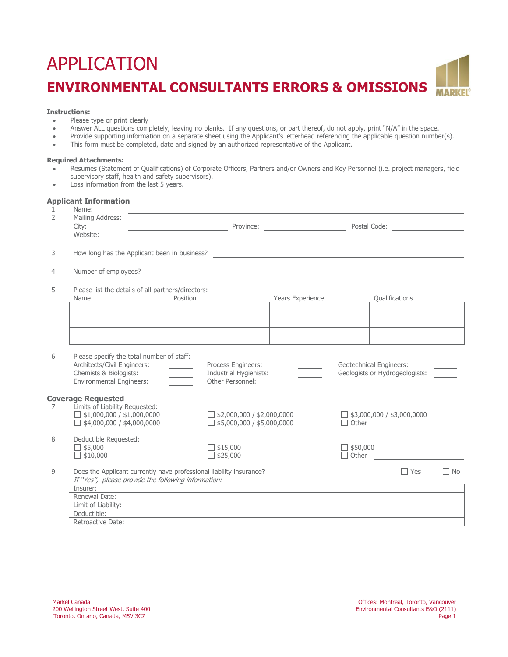# APPLICATION **ENVIRONMENTAL CONSULTANTS ERRORS & OMISSIONS**

# **Instructions:**

- Please type or print clearly
- Answer ALL questions completely, leaving no blanks. If any questions, or part thereof, do not apply, print "N/A" in the space.<br>• Provide supporting information on a separate sheet using the Applicant's letterhead referen
- Provide supporting information on a separate sheet using the Applicant's letterhead referencing the applicable question number(s).<br>• This form must be completed, date and signed by an authorized representative of the App
- This form must be completed, date and signed by an authorized representative of the Applicant.

# **Required Attachments:**

- Resumes (Statement of Qualifications) of Corporate Officers, Partners and/or Owners and Key Personnel (i.e. project managers, field supervisory staff, health and safety supervisors).
- Loss information from the last 5 years.

# **Applicant Information**

| Mailing Address:                                                                                                           |                |                                                                                                                                                                                                                                                                                        |                                                    |                                                                                                                      |            |                                                                                                                                                                                                                                                              |
|----------------------------------------------------------------------------------------------------------------------------|----------------|----------------------------------------------------------------------------------------------------------------------------------------------------------------------------------------------------------------------------------------------------------------------------------------|----------------------------------------------------|----------------------------------------------------------------------------------------------------------------------|------------|--------------------------------------------------------------------------------------------------------------------------------------------------------------------------------------------------------------------------------------------------------------|
| Website:                                                                                                                   |                |                                                                                                                                                                                                                                                                                        |                                                    |                                                                                                                      |            |                                                                                                                                                                                                                                                              |
|                                                                                                                            |                |                                                                                                                                                                                                                                                                                        |                                                    |                                                                                                                      |            |                                                                                                                                                                                                                                                              |
|                                                                                                                            |                |                                                                                                                                                                                                                                                                                        |                                                    |                                                                                                                      |            |                                                                                                                                                                                                                                                              |
| 5.<br>Name                                                                                                                 |                |                                                                                                                                                                                                                                                                                        |                                                    | Qualifications                                                                                                       |            |                                                                                                                                                                                                                                                              |
|                                                                                                                            |                |                                                                                                                                                                                                                                                                                        |                                                    |                                                                                                                      |            |                                                                                                                                                                                                                                                              |
|                                                                                                                            |                |                                                                                                                                                                                                                                                                                        |                                                    |                                                                                                                      |            |                                                                                                                                                                                                                                                              |
|                                                                                                                            |                | Process Engineers:<br>Other Personnel:                                                                                                                                                                                                                                                 |                                                    |                                                                                                                      |            |                                                                                                                                                                                                                                                              |
| <b>Coverage Requested</b>                                                                                                  |                |                                                                                                                                                                                                                                                                                        |                                                    |                                                                                                                      |            |                                                                                                                                                                                                                                                              |
|                                                                                                                            |                |                                                                                                                                                                                                                                                                                        |                                                    |                                                                                                                      |            |                                                                                                                                                                                                                                                              |
| $\Box$ \$5,000<br>$\Box$ \$10,000                                                                                          |                | $\Box$ \$15,000<br>$\Box$ \$25,000                                                                                                                                                                                                                                                     |                                                    | $\Box$ Other                                                                                                         |            |                                                                                                                                                                                                                                                              |
| Does the Applicant currently have professional liability insurance?<br>If "Yes", please provide the following information: |                |                                                                                                                                                                                                                                                                                        |                                                    |                                                                                                                      | $\Box$ Yes | $\Box$ No                                                                                                                                                                                                                                                    |
| Insurer:                                                                                                                   |                |                                                                                                                                                                                                                                                                                        |                                                    |                                                                                                                      |            |                                                                                                                                                                                                                                                              |
| Renewal Date:                                                                                                              |                |                                                                                                                                                                                                                                                                                        |                                                    |                                                                                                                      |            |                                                                                                                                                                                                                                                              |
| Limit of Liability:                                                                                                        |                |                                                                                                                                                                                                                                                                                        |                                                    |                                                                                                                      |            |                                                                                                                                                                                                                                                              |
| Deductible:                                                                                                                |                |                                                                                                                                                                                                                                                                                        |                                                    |                                                                                                                      |            |                                                                                                                                                                                                                                                              |
|                                                                                                                            | Name:<br>City: | Position<br>Please specify the total number of staff:<br>Architects/Civil Engineers:<br>Chemists & Biologists:<br><b>Environmental Engineers:</b><br>Limits of Liability Requested:<br>$\Box$ \$1,000,000 / \$1,000,0000<br>$\Box$ \$4,000,000 / \$4,000,0000<br>Deductible Requested: | Please list the details of all partners/directors: | Years Experience<br>Industrial Hygienists:<br>$\Box$ \$2,000,000 / \$2,000,0000<br>$\Box$ \$5,000,000 / \$5,000,0000 | Province:  | Postal Code: <u>_____________________</u><br>Geotechnical Engineers:<br>Geologists or Hydrogeologists:<br>$\Box$ \$3,000,000 / \$3,000,0000<br>$\Box$ Other $\Box$<br>$\Box$ \$50,000<br><u> 1989 - Johann Stein, mars an deus Amerikaansk kommunister (</u> |

Retroactive Date: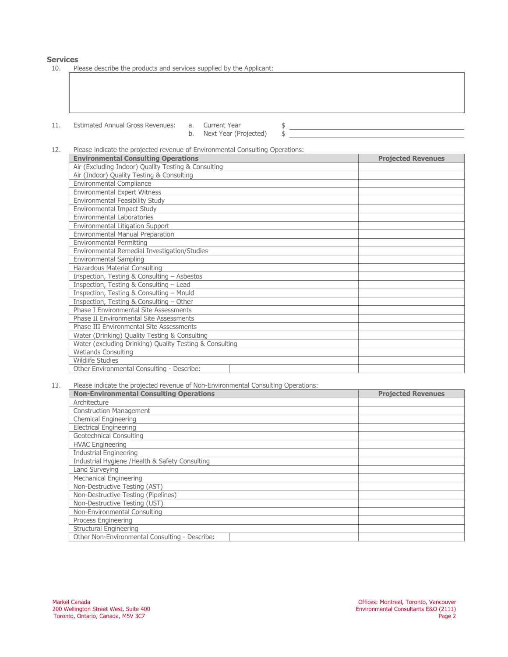**Services** 

| 10. | Please describe the products and services supplied by the Applicant: |
|-----|----------------------------------------------------------------------|
|-----|----------------------------------------------------------------------|

| 11. | Estimated Annual Gross Revenues: a. Current Year | b. Next Year (Projected) |  |  |
|-----|--------------------------------------------------|--------------------------|--|--|

b. Next Year (Projected)

12. Please indicate the projected revenue of Environmental Consulting Operations:

| <b>Environmental Consulting Operations</b>              | <b>Projected Revenues</b> |
|---------------------------------------------------------|---------------------------|
| Air (Excluding Indoor) Quality Testing & Consulting     |                           |
| Air (Indoor) Quality Testing & Consulting               |                           |
| Environmental Compliance                                |                           |
| <b>Environmental Expert Witness</b>                     |                           |
| Environmental Feasibility Study                         |                           |
| Environmental Impact Study                              |                           |
| <b>Environmental Laboratories</b>                       |                           |
| Environmental Litigation Support                        |                           |
| Environmental Manual Preparation                        |                           |
| <b>Environmental Permitting</b>                         |                           |
| Environmental Remedial Investigation/Studies            |                           |
| <b>Environmental Sampling</b>                           |                           |
| Hazardous Material Consulting                           |                           |
| Inspection, Testing & Consulting - Asbestos             |                           |
| Inspection, Testing & Consulting - Lead                 |                           |
| Inspection, Testing & Consulting - Mould                |                           |
| Inspection, Testing & Consulting - Other                |                           |
| Phase I Environmental Site Assessments                  |                           |
| Phase II Environmental Site Assessments                 |                           |
| <b>Phase III Environmental Site Assessments</b>         |                           |
| Water (Drinking) Quality Testing & Consulting           |                           |
| Water (excluding Drinking) Quality Testing & Consulting |                           |
| <b>Wetlands Consulting</b>                              |                           |
| <b>Wildlife Studies</b>                                 |                           |
| Other Environmental Consulting - Describe:              |                           |

13. Please indicate the projected revenue of Non-Environmental Consulting Operations:

| <b>Non-Environmental Consulting Operations</b> | <b>Projected Revenues</b> |  |  |
|------------------------------------------------|---------------------------|--|--|
| Architecture                                   |                           |  |  |
| <b>Construction Management</b>                 |                           |  |  |
| <b>Chemical Engineering</b>                    |                           |  |  |
| <b>Electrical Engineering</b>                  |                           |  |  |
| Geotechnical Consulting                        |                           |  |  |
| <b>HVAC Engineering</b>                        |                           |  |  |
| <b>Industrial Engineering</b>                  |                           |  |  |
| Industrial Hygiene /Health & Safety Consulting |                           |  |  |
| Land Surveying                                 |                           |  |  |
| Mechanical Engineering                         |                           |  |  |
| Non-Destructive Testing (AST)                  |                           |  |  |
| Non-Destructive Testing (Pipelines)            |                           |  |  |
| Non-Destructive Testing (UST)                  |                           |  |  |
| Non-Environmental Consulting                   |                           |  |  |
| Process Engineering                            |                           |  |  |
| Structural Engineering                         |                           |  |  |
| Other Non-Environmental Consulting - Describe: |                           |  |  |